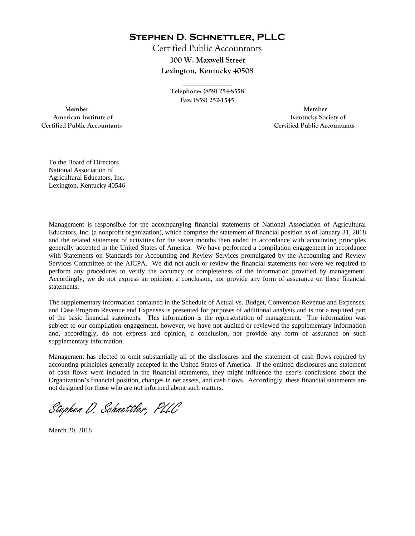**Stephen D. Schnettler, PLLC**

Certified Public Accountants **300 W. Maxwell Street Lexington, Kentucky 40508** 

> **Telephone: (859) 254-8558 Fax: (859) 252-1545**

**\_\_\_\_\_\_\_\_\_\_\_\_** 

 **Member Member Certified Public Accountants Certified Public Accountants** 

American Institute of **Kentucky Society of American Institute of** 

To the Board of Directors National Association of Agricultural Educators, Inc. Lexington, Kentucky 40546

Management is responsible for the accompanying financial statements of National Association of Agricultural Educators, Inc. (a nonprofit organization), which comprise the statement of financial position as of January 31, 2018 and the related statement of activities for the seven months then ended in accordance with accounting principles generally accepted in the United States of America. We have performed a compilation engagement in accordance with Statements on Standards for Accounting and Review Services promulgated by the Accounting and Review Services Committee of the AICPA. We did not audit or review the financial statements nor were we required to perform any procedures to verify the accuracy or completeness of the information provided by management. Accordingly, we do not express an opinion, a conclusion, nor provide any form of assurance on these financial statements.

The supplementary information contained in the Schedule of Actual vs. Budget, Convention Revenue and Expenses, and Case Program Revenue and Expenses is presented for purposes of additional analysis and is not a required part of the basic financial statements. This information is the representation of management. The information was subject to our compilation engagement, however, we have not audited or reviewed the supplementary information and, accordingly, do not express and opinion, a conclusion, nor provide any form of assurance on such supplementary information.

Management has elected to omit substantially all of the disclosures and the statement of cash flows required by accounting principles generally accepted in the United States of America. If the omitted disclosures and statement of cash flows were included in the financial statements, they might influence the user's conclusions about the Organization's financial position, changes in net assets, and cash flows. Accordingly, these financial statements are not designed for those who are not informed about such matters.

Stephen D. Schnettler, PLLC

March 20, 2018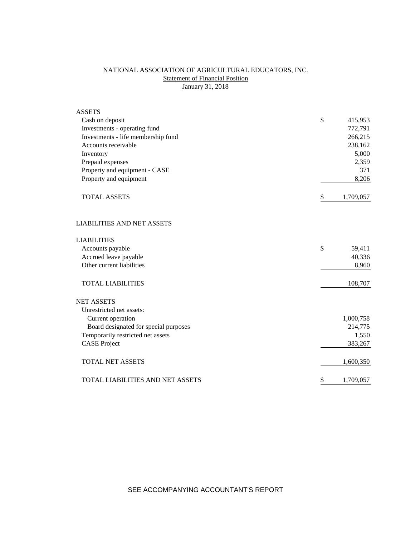# NATIONAL ASSOCIATION OF AGRICULTURAL EDUCATORS, INC. **Statement of Financial Position** January 31, 2018

| <b>ASSETS</b>                           |                 |
|-----------------------------------------|-----------------|
| Cash on deposit                         | \$<br>415,953   |
| Investments - operating fund            | 772,791         |
| Investments - life membership fund      | 266,215         |
| Accounts receivable                     | 238,162         |
| Inventory                               | 5,000           |
| Prepaid expenses                        | 2,359           |
| Property and equipment - CASE           | 371             |
| Property and equipment                  | 8,206           |
| <b>TOTAL ASSETS</b>                     | \$<br>1,709,057 |
| <b>LIABILITIES AND NET ASSETS</b>       |                 |
| <b>LIABILITIES</b>                      |                 |
| Accounts payable                        | \$<br>59,411    |
| Accrued leave payable                   | 40,336          |
| Other current liabilities               | 8,960           |
| <b>TOTAL LIABILITIES</b>                | 108,707         |
| <b>NET ASSETS</b>                       |                 |
| Unrestricted net assets:                |                 |
| Current operation                       | 1,000,758       |
| Board designated for special purposes   | 214,775         |
| Temporarily restricted net assets       | 1,550           |
| <b>CASE</b> Project                     | 383,267         |
| <b>TOTAL NET ASSETS</b>                 | 1,600,350       |
| <b>TOTAL LIABILITIES AND NET ASSETS</b> | \$<br>1,709,057 |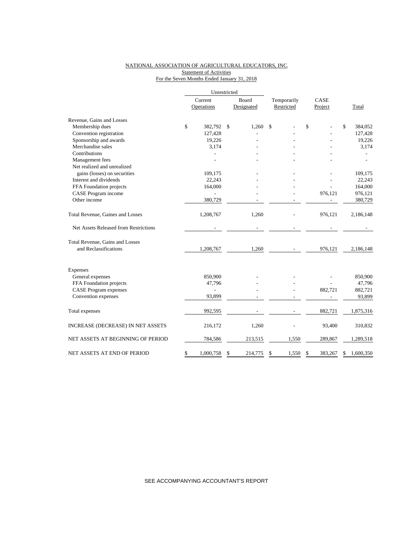### NATIONAL ASSOCIATION OF AGRICULTURAL EDUCATORS, INC. **Statement of Activities** For the Seven Months Ended January 31, 2018

|                                       |         | Unrestricted             |               |             |      |         |                 |
|---------------------------------------|---------|--------------------------|---------------|-------------|------|---------|-----------------|
|                                       | Current |                          | Board         | Temporarily | CASE |         |                 |
|                                       |         | Operations               | Designated    | Restricted  |      | Project | Total           |
| Revenue, Gains and Losses             |         |                          |               |             |      |         |                 |
| Membership dues                       | \$      | 382,792                  | \$<br>1,260   | \$          | \$   |         | \$<br>384,052   |
| Convention registration               |         | 127,428                  |               |             |      |         | 127,428         |
| Sponsorship and awards                |         | 19,226                   |               |             |      |         | 19,226          |
| Merchandise sales                     |         | 3,174                    |               |             |      |         | 3,174           |
| Contributions                         |         |                          |               |             |      |         |                 |
| Management fees                       |         |                          |               |             |      |         |                 |
| Net realized and unrealized           |         |                          |               |             |      |         |                 |
| gains (losses) on securities          |         | 109,175                  |               |             |      |         | 109,175         |
| Interest and dividends                |         | 22,243                   |               |             |      |         | 22,243          |
| FFA Foundation projects               |         | 164,000                  |               |             |      |         | 164,000         |
| CASE Program income                   |         |                          |               |             |      | 976,121 | 976,121         |
| Other income                          |         | 380,729                  |               |             |      |         | 380,729         |
| Total Revenue, Gaines and Losses      |         | 1,208,767                | 1,260         |             |      | 976,121 | 2,186,148       |
| Net Assets Released from Restrictions |         |                          |               |             |      |         |                 |
| Total Revenue, Gains and Losses       |         |                          |               |             |      |         |                 |
| and Reclassifications                 |         | 1,208,767                | 1,260         |             |      | 976,121 | 2,186,148       |
| Expenses                              |         |                          |               |             |      |         |                 |
| General expenses                      |         | 850,900                  |               |             |      |         | 850,900         |
| FFA Foundation projects               |         | 47,796                   |               |             |      |         | 47,796          |
| <b>CASE Program expenses</b>          |         | $\overline{\phantom{0}}$ |               |             |      | 882,721 | 882,721         |
| Convention expenses                   |         | 93,899                   |               |             |      |         | 93,899          |
| Total expenses                        |         | 992,595                  |               |             |      | 882,721 | 1,875,316       |
| INCREASE (DECREASE) IN NET ASSETS     |         | 216,172                  | 1,260         |             |      | 93,400  | 310,832         |
|                                       |         |                          |               |             |      |         |                 |
| NET ASSETS AT BEGINNING OF PERIOD     |         | 784,586                  | 213,515       | 1,550       |      | 289,867 | 1,289,518       |
| NET ASSETS AT END OF PERIOD           | \$      | 1,000,758                | \$<br>214,775 | \$<br>1,550 | \$   | 383,267 | \$<br>1,600,350 |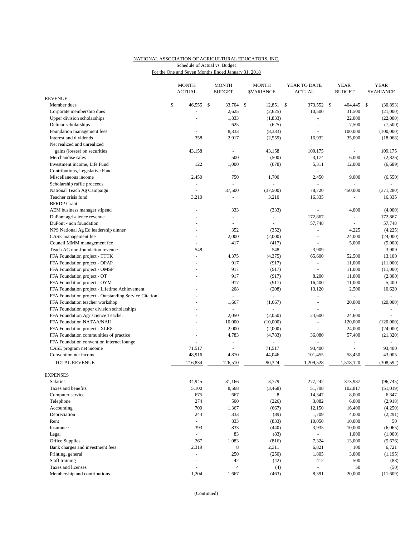### NATIONAL ASSOCIATION OF AGRICULTURAL EDUCATORS, INC. For the One and Seven Months Ended January 31, 2018 Schedule of Actual vs. Budget

|                                                       | <b>MONTH</b><br><b>ACTUAL</b> |      | <b>MONTH</b><br><b>BUDGET</b> |    | <b>MONTH</b><br><b>\$VARIANCE</b> | YEAR TO DATE<br><b>ACTUAL</b> | <b>YEAR</b><br><b>BUDGET</b> | <b>YEAR</b><br><b>\$VARIANCE</b> |
|-------------------------------------------------------|-------------------------------|------|-------------------------------|----|-----------------------------------|-------------------------------|------------------------------|----------------------------------|
| <b>REVENUE</b>                                        |                               |      |                               |    |                                   |                               |                              |                                  |
| Member dues                                           | \$<br>46,555                  | - \$ | 33,704                        | -S | 12,851 \$                         | 373,552 \$                    | 404,445                      | \$<br>(30, 893)                  |
| Corporate membership dues                             |                               |      | 2,625                         |    | (2,625)                           | 10,500                        | 31,500                       | (21,000)                         |
| Upper division scholarships                           |                               |      | 1,833                         |    | (1,833)                           |                               | 22,000                       | (22,000)                         |
| Delmar scholarships                                   |                               |      | 625                           |    | (625)                             |                               | 7,500                        | (7,500)                          |
| Foundation management fees                            |                               |      | 8,333                         |    | (8, 333)                          |                               | 100,000                      | (100,000)                        |
| Interest and dividends                                | 358                           |      | 2,917                         |    | (2,559)                           | 16,932                        | 35,000                       | (18,068)                         |
| Net realized and unrealized                           |                               |      |                               |    |                                   |                               |                              |                                  |
| gains (losses) on securities                          | 43,158                        |      | $\sim$                        |    | 43,158                            | 109,175                       | ÷,                           | 109,175                          |
| Merchandise sales                                     | ÷,                            |      | 500                           |    | (500)                             | 3,174                         | 6,000                        | (2,826)                          |
| Investment income, Life Fund                          | 122                           |      | 1,000                         |    | (878)                             | 5,311                         | 12,000                       | (6,689)                          |
| Contributions, Legislative Fund                       | $\sim$                        |      | $\sim$                        |    | $\overline{\phantom{a}}$          | ÷                             | $\overline{\phantom{a}}$     | $\sim$                           |
| Miscellaneous income                                  | 2,450                         |      | 750                           |    | 1,700                             | 2,450                         | 9,000                        | (6, 550)                         |
| Scholarship raffle proceeds                           | $\bar{\phantom{a}}$           |      |                               |    | ÷,                                |                               |                              |                                  |
|                                                       | $\sim$                        |      | 37,500                        |    | (37,500)                          | 78,720                        |                              | (371, 280)                       |
| National Teach Ag Campaign                            |                               |      |                               |    |                                   |                               | 450,000                      |                                  |
| Teacher crisis fund                                   | 3,210                         |      | $\blacksquare$                |    | 3,210                             | 16,335                        | $\overline{\phantom{a}}$     | 16,335                           |
| <b>BFRDP</b> Grant                                    | L,                            |      |                               |    |                                   |                               | ÷,                           |                                  |
| AEM business manager stipend                          | ÷.                            |      | 333                           |    | (333)                             | $\sim$                        | 4,000                        | (4,000)                          |
| DuPont agriscience revenue                            |                               |      | $\bar{a}$                     |    | $\blacksquare$                    | 172,867                       | $\Box$                       | 172,867                          |
| DuPont - non foundation                               |                               |      | $\sim$                        |    | $\overline{\phantom{a}}$          | 57,748                        | $\blacksquare$               | 57,748                           |
| NPS National Ag Ed leadership dinner                  |                               |      | 352                           |    | (352)                             | $\sim$                        | 4,225                        | (4,225)                          |
| CASE management fee                                   | L,                            |      | 2,000                         |    | (2,000)                           | $\sim$                        | 24,000                       | (24,000)                         |
| Council MMM management fee                            |                               |      | 417                           |    | (417)                             |                               | 5,000                        | (5,000)                          |
| Teach AG non-foundation revenue                       | 548                           |      | $\bar{\phantom{a}}$           |    | 548                               | 3,909                         |                              | 3,909                            |
| FFA Foundation project - TTTK                         | $\sim$                        |      | 4,375                         |    | (4,375)                           | 65,600                        | 52,500                       | 13,100                           |
| FFA Foundation project - OPAP                         |                               |      | 917                           |    | (917)                             | $\sim$                        | 11,000                       | (11,000)                         |
| FFA Foundation project - OMSP                         |                               |      | 917                           |    | (917)                             |                               | 11,000                       | (11,000)                         |
| FFA Foundation project - OT                           |                               |      | 917                           |    | (917)                             | 8,200                         | 11,000                       | (2,800)                          |
| FFA Foundation project - OYM                          |                               |      | 917                           |    | (917)                             | 16,400                        | 11,000                       | 5,400                            |
| FFA Foundation project - Lifetime Achievement         |                               |      | 208                           |    | (208)                             | 13,120                        | 2,500                        | 10,620                           |
| FFA Foundation project - Outstanding Service Citation |                               |      | $\omega$                      |    | ä,                                |                               | $\overline{\phantom{a}}$     |                                  |
| FFA Foundation teacher workshop                       |                               |      | 1,667                         |    | (1,667)                           | $\sim$                        | 20,000                       | (20,000)                         |
| FFA Foundation upper division scholarships            |                               |      | $\bar{a}$                     |    | ä,                                |                               | ÷,                           |                                  |
| FFA Foundation Agriscience Teacher                    |                               |      | 2,050                         |    | (2,050)                           | 24,600                        | 24,600                       |                                  |
| FFA Foundation NATAA/NAII                             |                               |      | 10,000                        |    | (10,000)                          | $\blacksquare$                | 120,000                      | (120,000)                        |
| FFA Foundation project - XLR8                         |                               |      | 2,000                         |    | (2,000)                           |                               | 24,000                       | (24,000)                         |
| FFA Foundation communities of practice                | $\overline{a}$                |      | 4,783                         |    | (4,783)                           | 36,080                        | 57,400                       | (21, 320)                        |
| FFA Foundation convention internet lounge             |                               |      | $\sim$                        |    | ÷,                                |                               | ä,                           | $\omega$                         |
| CASE program net income                               | 71,517                        |      | $\sim$                        |    | 71,517                            | 93,400                        | ä,                           | 93,400                           |
| Convention net income                                 | 48,916                        |      | 4,870                         |    | 44,046                            | 101,455                       | 58,450                       | 43,005                           |
| TOTAL REVENUE                                         | 216,834                       |      | 126,510                       |    | 90,324                            | 1,209,528                     | 1,518,120                    | (308, 592)                       |
| <b>EXPENSES</b>                                       |                               |      |                               |    |                                   |                               |                              |                                  |
| Salaries                                              | 34,945                        |      | 31,166                        |    | 3,779                             | 277,242                       | 373,987                      | (96, 745)                        |
| Taxes and benefits                                    | 5,100                         |      | 8,568                         |    | (3, 468)                          | 51,798                        | 102,817                      | (51, 019)                        |
| Computer service                                      | 675                           |      | 667                           |    | 8                                 | 14,347                        | 8,000                        | 6,347                            |
| Telephone                                             | 274                           |      | 500                           |    | (226)                             | 3,082                         | 6,000                        | (2,918)                          |
| Accounting                                            | 700                           |      | 1,367                         |    | (667)                             | 12,150                        | 16,400                       | (4,250)                          |
| Depreciation                                          | 244                           |      | 333                           |    | (89)                              | 1,709                         | 4,000                        | (2,291)                          |
| Rent                                                  | $\omega$                      |      | 833                           |    | (833)                             | 10,050                        | 10,000                       | 50                               |
| Insurance                                             | 393                           |      | 833                           |    |                                   | 3,935                         | 10,000                       | (6,065)                          |
|                                                       |                               |      |                               |    | (440)                             |                               |                              |                                  |
| Legal                                                 | $\blacksquare$                |      | 83                            |    | (83)                              |                               | 1,000                        | (1,000)                          |
| Office Supplies                                       | 267                           |      | 1,083                         |    | (816)                             | 7,324                         | 13,000                       | (5,676)                          |
| Bank charges and investment fees                      | 2,319                         |      | 8                             |    | 2,311                             | 6,821                         | 100                          | 6,721                            |
| Printing, general                                     | ÷,                            |      | 250                           |    | (250)                             | 1,805                         | 3,000                        | (1, 195)                         |
| Staff training                                        | $\sim$                        |      | 42                            |    | (42)                              | 412                           | 500                          | (88)                             |
| Taxes and licenses                                    | $\blacksquare$                |      | 4                             |    | (4)                               |                               | 50                           | (50)                             |
| Membership and contributions                          | 1,204                         |      | 1,667                         |    | (463)                             | 8,391                         | 20,000                       | (11,609)                         |

(Continued)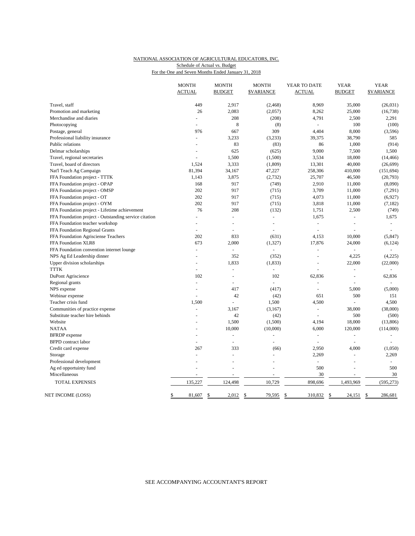### NATIONAL ASSOCIATION OF AGRICULTURAL EDUCATORS, INC. For the One and Seven Months Ended January 31, 2018 Schedule of Actual vs. Budget

|                                                       | <b>MONTH</b><br><b>ACTUAL</b> | <b>MONTH</b><br><b>BUDGET</b> | <b>MONTH</b><br><b>\$VARIANCE</b> | YEAR TO DATE<br><b>ACTUAL</b> | <b>YEAR</b><br><b>BUDGET</b> | <b>YEAR</b><br><b><i>SVARIANCE</i></b> |
|-------------------------------------------------------|-------------------------------|-------------------------------|-----------------------------------|-------------------------------|------------------------------|----------------------------------------|
|                                                       |                               |                               |                                   |                               |                              |                                        |
| Travel, staff                                         | 449                           | 2,917                         | (2, 468)                          | 8,969                         | 35,000                       | (26, 031)                              |
| Promotion and marketing                               | 26                            | 2,083                         | (2,057)                           | 8,262                         | 25,000                       | (16, 738)                              |
| Merchandise and diaries                               | L.                            | 208                           | (208)                             | 4,791                         | 2,500                        | 2,291                                  |
| Photocopying                                          | $\overline{a}$                | 8                             | (8)                               | $\sim$                        | 100                          | (100)                                  |
| Postage, general                                      | 976                           | 667                           | 309                               | 4,404                         | 8,000                        | (3,596)                                |
| Professional liability insurance                      | $\overline{a}$                | 3,233                         | (3,233)                           | 39,375                        | 38,790                       | 585                                    |
| Public relations                                      |                               | 83                            | (83)                              | 86                            | 1,000                        | (914)                                  |
| Delmar scholarships                                   | L.                            | 625                           | (625)                             | 9,000                         | 7,500                        | 1,500                                  |
| Travel, regional secretaries                          |                               | 1,500                         | (1,500)                           | 3,534                         | 18,000                       | (14, 466)                              |
| Travel, board of directors                            | 1,524                         | 3,333                         | (1, 809)                          | 13,301                        | 40,000                       | (26, 699)                              |
| Nat'l Teach Ag Campaign                               | 81,394                        | 34,167                        | 47,227                            | 258,306                       | 410,000                      | (151, 694)                             |
| FFA Foundation project - TTTK                         | 1,143                         | 3,875                         | (2,732)                           | 25,707                        | 46,500                       | (20, 793)                              |
| FFA Foundation project - OPAP                         | 168                           | 917                           | (749)                             | 2,910                         | 11,000                       | (8,090)                                |
| FFA Foundation project - OMSP                         | 202                           | 917                           | (715)                             | 3,709                         | 11,000                       | (7,291)                                |
| FFA Foundation project - OT                           | 202                           | 917                           | (715)                             | 4,073                         | 11,000                       | (6,927)                                |
| FFA Foundation project - OYM                          | 202                           | 917                           | (715)                             | 3,818                         | 11,000                       | (7, 182)                               |
| FFA Foundation project - Lifetime achievement         | 76                            | 208                           | (132)                             | 1,751                         | 2,500                        | (749)                                  |
| FFA Foundation project - Outstanding service citation |                               | L.                            | $\bar{a}$                         | 1,675                         | $\overline{a}$               | 1,675                                  |
| FFA Foundation teacher workshop                       | $\equiv$                      | $\overline{a}$                | $\blacksquare$                    | $\omega$                      | ÷,                           | $\omega$                               |
| FFA Foundation Regional Grants                        | ٠                             | Ξ                             | $\overline{a}$                    | $\overline{a}$                | Ξ                            | $\overline{a}$                         |
| FFA Foundation Agrisciense Teachers                   | 202                           | 833                           | (631)                             | 4,153                         | 10,000                       | (5, 847)                               |
| FFA Foundation XLR8                                   | 673                           | 2,000                         | (1, 327)                          | 17,876                        | 24,000                       | (6, 124)                               |
| FFA Foundation convention internet lounge             | $\overline{a}$                | $\overline{a}$                |                                   | $\overline{a}$                |                              |                                        |
| NPS Ag Ed Leadership dinner                           | L.                            | 352                           | (352)                             | $\overline{a}$                | 4,225                        | (4,225)                                |
| Upper division scholarships                           | L.                            | 1,833                         | (1, 833)                          | L,                            | 22,000                       | (22,000)                               |
| <b>TTTK</b>                                           | ÷,                            | ÷,                            | ä,                                | L                             | ÷,                           | $\bar{\phantom{a}}$                    |
| DuPont Agriscience                                    | 102                           | ÷,                            | 102                               | 62,836                        | L                            | 62,836                                 |
| Regional grants                                       | $\overline{a}$                | $\overline{\phantom{a}}$      | $\overline{a}$                    | L.                            |                              |                                        |
| NPS expense                                           | $\overline{a}$                | 417                           | (417)                             | $\overline{a}$                | 5,000                        | (5,000)                                |
| Webinar expense                                       | ÷                             | 42                            | (42)                              | 651                           | 500                          | 151                                    |
| Teacher crisis fund                                   | 1,500                         | L.                            | 1,500                             | 4,500                         |                              | 4,500                                  |
| Communities of practice expense                       |                               | 3,167                         | (3,167)                           | $\sim$                        | 38,000                       | (38,000)                               |
| Substitute teacher hire behinds                       |                               | 42                            | (42)                              | $\overline{a}$                | 500                          | (500)                                  |
| Website                                               |                               | 1,500                         | (1,500)                           | 4,194                         | 18,000                       | (13,806)                               |
| <b>NATAA</b>                                          | L.                            | 10,000                        | (10,000)                          | 6,000                         | 120,000                      | (114,000)                              |
| <b>BFRDP</b> expense                                  | L.                            | ÷,                            | ä,                                | $\overline{\phantom{a}}$      | ÷,                           | L,                                     |
| <b>BFPD</b> contract labor                            | L.                            | ÷,                            | $\overline{\phantom{a}}$          | $\sim$                        | L.                           |                                        |
| Credit card expense                                   | 267                           | 333                           | (66)                              | 2,950                         | 4,000                        | (1,050)                                |
| Storage                                               | ÷.                            | ÷.                            |                                   | 2,269                         | $\overline{a}$               | 2,269                                  |
| Professional development                              |                               |                               |                                   | ä,                            | $\overline{a}$               | $\sim$                                 |
| Ag ed opportuinty fund                                |                               |                               |                                   | 500                           |                              | 500                                    |
| Miscellaneous                                         |                               | L.                            | ÷.                                | 30                            | L.                           | 30                                     |
| TOTAL EXPENSES                                        | 135,227                       | 124,498                       | 10,729                            | 898,696                       | 1,493,969                    | (595, 273)                             |
|                                                       |                               |                               |                                   |                               |                              |                                        |
| NET INCOME (LOSS)                                     | \$<br>81,607                  | \$<br>2,012                   | $\mathcal{S}$<br>79,595           | \$<br>310,832                 | \$<br>24,151                 | $\mathbb{S}$<br>286,681                |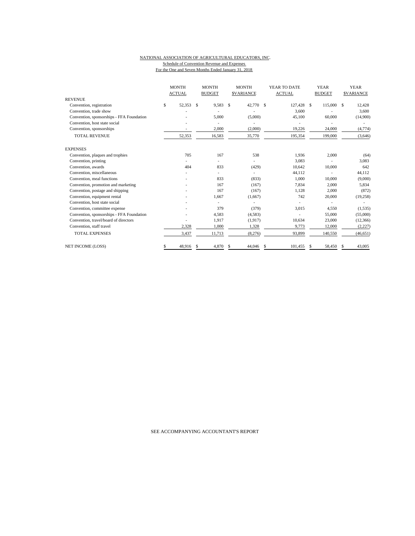#### NATIONAL ASSOCIATION OF AGRICULTURAL EDUCATORS, INC. Schedule of Convention Revenue and Expenses For the One and Seven Months Ended January 31, 2018

|                                           |    | <b>MONTH</b><br><b>ACTUAL</b> |    |        |    |         |     |            |    | <b>MONTH</b><br><b>BUDGET</b> |    | <b>MONTH</b><br><b>SVARIANCE</b> |  | YEAR TO DATE<br><b>ACTUAL</b> |  | <b>YEAR</b><br><b>BUDGET</b> |  | <b>YEAR</b><br><b>SVARIANCE</b> |
|-------------------------------------------|----|-------------------------------|----|--------|----|---------|-----|------------|----|-------------------------------|----|----------------------------------|--|-------------------------------|--|------------------------------|--|---------------------------------|
| <b>REVENUE</b>                            |    |                               |    |        |    |         |     |            |    |                               |    |                                  |  |                               |  |                              |  |                                 |
| Convention, registration                  | \$ | 52,353                        | S. | 9,583  | -S | 42,770  | -\$ | 127,428 \$ |    | 115,000                       | S. | 12,428                           |  |                               |  |                              |  |                                 |
| Convention, trade show                    |    |                               |    |        |    |         |     | 3,600      |    |                               |    | 3,600                            |  |                               |  |                              |  |                                 |
| Convention, sponsorships - FFA Foundation |    |                               |    | 5.000  |    | (5,000) |     | 45,100     |    | 60,000                        |    | (14,900)                         |  |                               |  |                              |  |                                 |
| Convention, host state social             |    |                               |    |        |    |         |     |            |    |                               |    |                                  |  |                               |  |                              |  |                                 |
| Convention, sponsorships                  |    |                               |    | 2,000  |    | (2,000) |     | 19,226     |    | 24,000                        |    | (4, 774)                         |  |                               |  |                              |  |                                 |
| <b>TOTAL REVENUE</b>                      |    | 52,353                        |    | 16,583 |    | 35,770  |     | 195,354    |    | 199,000                       |    | (3,646)                          |  |                               |  |                              |  |                                 |
| <b>EXPENSES</b>                           |    |                               |    |        |    |         |     |            |    |                               |    |                                  |  |                               |  |                              |  |                                 |
| Convention, plaques and trophies          |    | 705                           |    | 167    |    | 538     |     | 1,936      |    | 2,000                         |    | (64)                             |  |                               |  |                              |  |                                 |
| Convention, printing                      |    |                               |    |        |    |         |     | 3,083      |    |                               |    | 3,083                            |  |                               |  |                              |  |                                 |
| Convention, awards                        |    | 404                           |    | 833    |    | (429)   |     | 10,642     |    | 10.000                        |    | 642                              |  |                               |  |                              |  |                                 |
| Convention, miscellaneous                 |    |                               |    |        |    |         |     | 44,112     |    |                               |    | 44,112                           |  |                               |  |                              |  |                                 |
| Convention, meal functions                |    |                               |    | 833    |    | (833)   |     | 1,000      |    | 10,000                        |    | (9,000)                          |  |                               |  |                              |  |                                 |
| Convention, promotion and marketing       |    |                               |    | 167    |    | (167)   |     | 7,834      |    | 2,000                         |    | 5,834                            |  |                               |  |                              |  |                                 |
| Convention, postage and shipping          |    |                               |    | 167    |    | (167)   |     | 1,128      |    | 2,000                         |    | (872)                            |  |                               |  |                              |  |                                 |
| Convention, equipment rental              |    |                               |    | 1,667  |    | (1,667) |     | 742        |    | 20,000                        |    | (19,258)                         |  |                               |  |                              |  |                                 |
| Convention, host state social             |    |                               |    |        |    |         |     |            |    |                               |    |                                  |  |                               |  |                              |  |                                 |
| Convention, committee expense             |    |                               |    | 379    |    | (379)   |     | 3,015      |    | 4,550                         |    | (1, 535)                         |  |                               |  |                              |  |                                 |
| Convention, sponsorships - FFA Foundation |    |                               |    | 4,583  |    | (4,583) |     |            |    | 55,000                        |    | (55,000)                         |  |                               |  |                              |  |                                 |
| Convention, travel/board of directors     |    |                               |    | 1,917  |    | (1,917) |     | 10,634     |    | 23,000                        |    | (12,366)                         |  |                               |  |                              |  |                                 |
| Convention, staff travel                  |    | 2,328                         |    | 1,000  |    | 1,328   |     | 9,773      |    | 12,000                        |    | (2,227)                          |  |                               |  |                              |  |                                 |
| <b>TOTAL EXPENSES</b>                     |    | 3,437                         |    | 11,713 |    | (8,276) |     | 93.899     |    | 140,550                       |    | (46, 651)                        |  |                               |  |                              |  |                                 |
| <b>NET INCOME (LOSS)</b>                  |    | 48,916                        | S  | 4,870  | S  | 44,046  | \$  | 101.455    | \$ | 58,450                        | S  | 43,005                           |  |                               |  |                              |  |                                 |